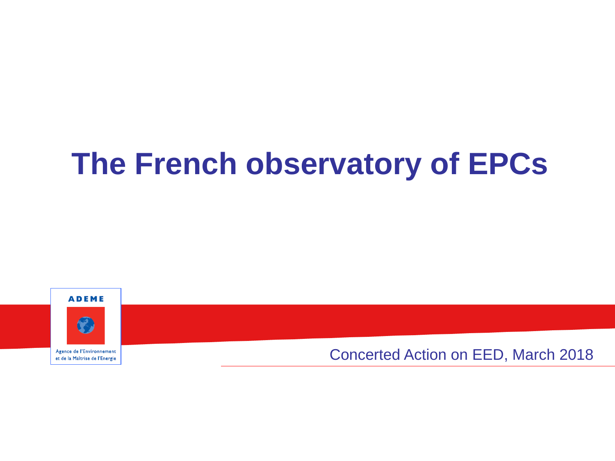# **The French observatory of EPCs**





Agence de l'Environnement et de la Maîtrise de l'Energie Concerted Action on EED, March 2018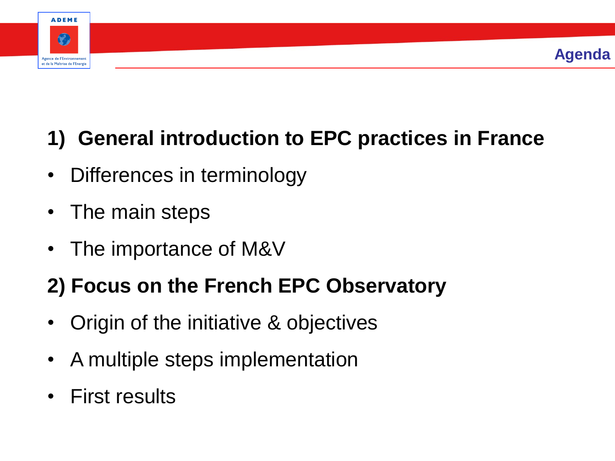

## **1) General introduction to EPC practices in France**

- Differences in terminology
- The main steps
- The importance of M&V

### **2) Focus on the French EPC Observatory**

- Origin of the initiative & objectives
- A multiple steps implementation
- First results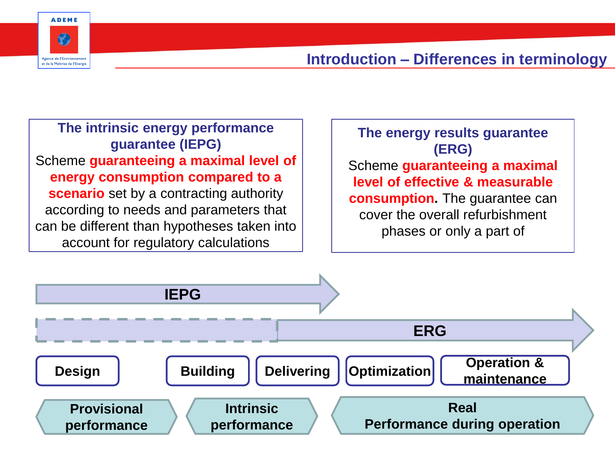

#### **Introduction – Differences in terminology**

**The intrinsic energy performance guarantee (IEPG)** Scheme **guaranteeing a maximal level of energy consumption compared to a scenario** set by a contracting authority according to needs and parameters that can be different than hypotheses taken into account for regulatory calculations

**The energy results guarantee (ERG)** Scheme **guaranteeing a maximal level of effective & measurable consumption.** The guarantee can cover the overall refurbishment phases or only a part of

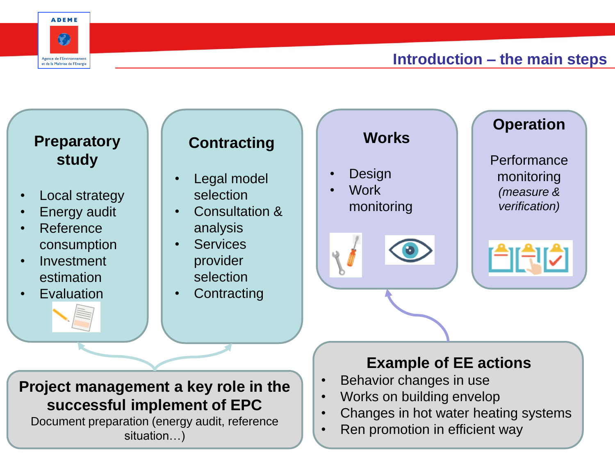

#### **Introduction – the main steps**

#### **Preparatory study**

- Local strategy
- **Energy audit**
- Reference consumption
- Investment estimation
- **Evaluation**

### **Contracting**

- Legal model selection
- Consultation & analysis
- Services provider selection
- Contracting

**Works Design** • Work monitoring

#### **Operation**

**Performance** monitoring *(measure & verification)*

#### **Example of EE actions**

- Behavior changes in use
- Works on building envelop
- Changes in hot water heating systems
- Ren promotion in efficient way

#### **Project management a key role in the successful implement of EPC**

Document preparation (energy audit, reference situation…)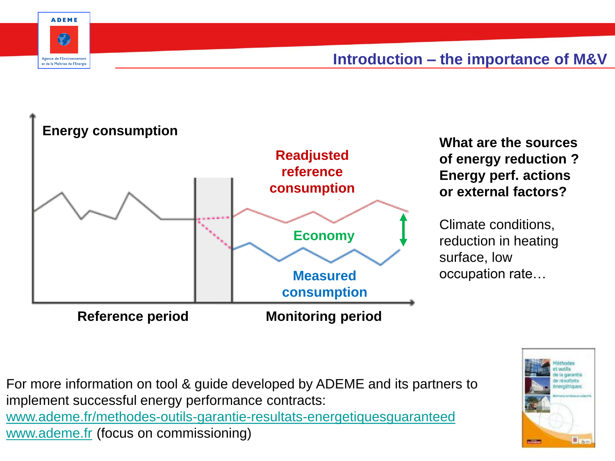

#### **Introduction – the importance of M&V**



For more information on tool & guide developed by ADEME and its partners to implement successful energy performance contracts: [www.ademe.fr/methodes-outils-garantie-resultats-energetiquesguaranteed](http://www.ademe.fr/methodes-outils-garantie-resultats-energetiquesguaranteed) [www.ademe.fr](http://www.ademe.fr/) (focus on commissioning)

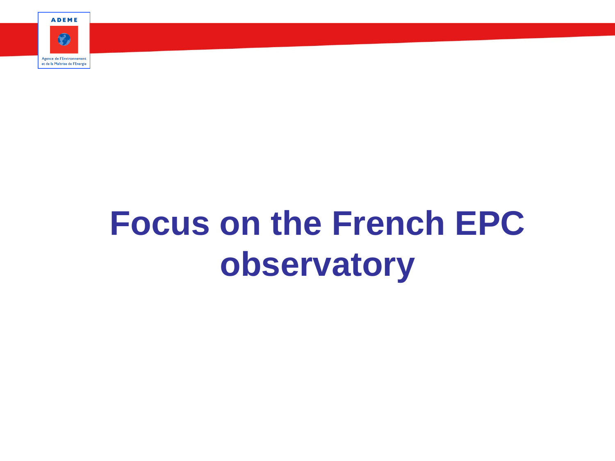**ADEME** 



# **Focus on the French EPC observatory**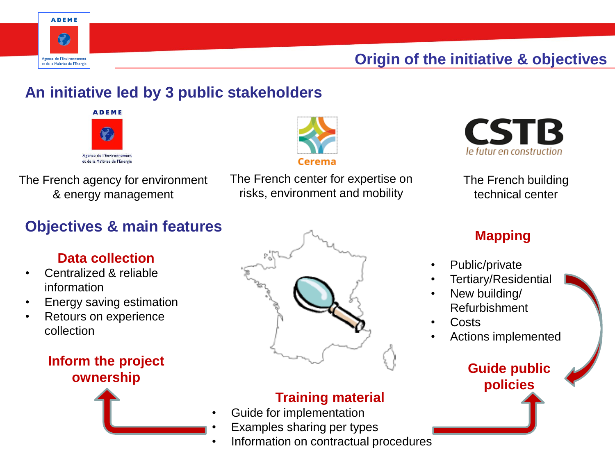

#### **Origin of the initiative & objectives**

#### **An initiative led by 3 public stakeholders**





The French agency for environment & energy management

The French center for expertise on risks, environment and mobility



The French building technical center

#### **Objectives & main features**

#### **Data collection**

- Centralized & reliable information
- Energy saving estimation
- Retours on experience collection

# **Inform the project**



#### **Training material**

- Guide for implementation
- Examples sharing per types
- Information on contractual procedures

#### **Mapping**

- Public/private
- Tertiary/Residential
- New building/ Refurbishment
- Costs
- Actions implemented

**policies**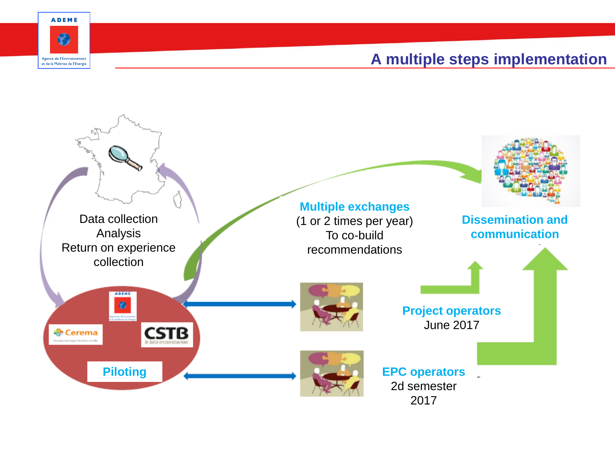



#### **A multiple steps implementation**

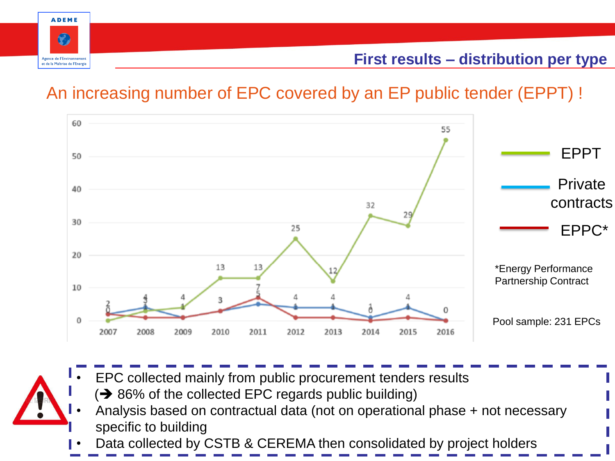

### An increasing number of EPC covered by an EP public tender (EPPT) !





- $\Rightarrow$  86% of the collected EPC regards public building) • Analysis based on contractual data (not on operational phase + not necessary specific to building
- Data collected by CSTB & CEREMA then consolidated by project holders

• EPC collected mainly from public procurement tenders results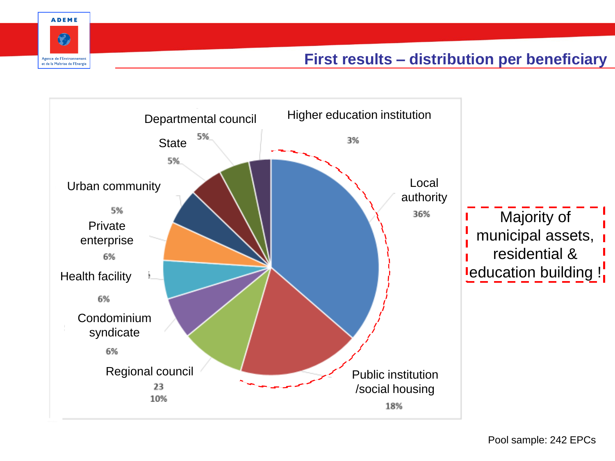

#### **First results – distribution per beneficiary**

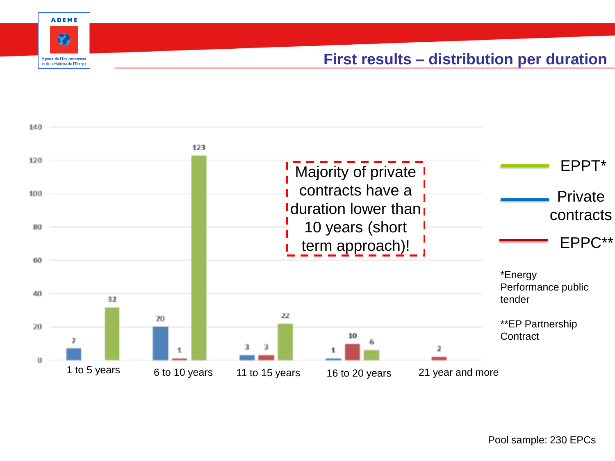

#### **First results – distribution per duration**

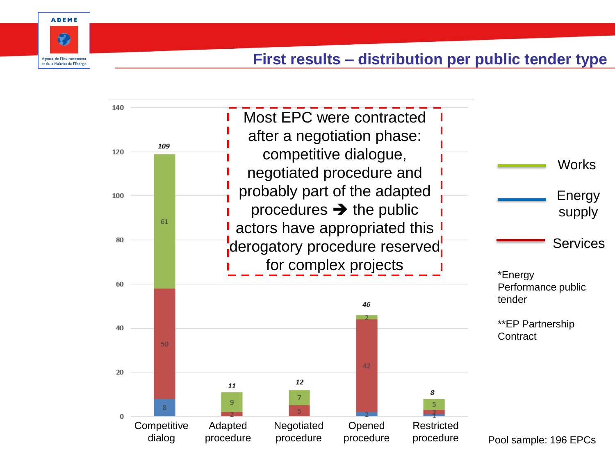

#### **First results – distribution per public tender type**

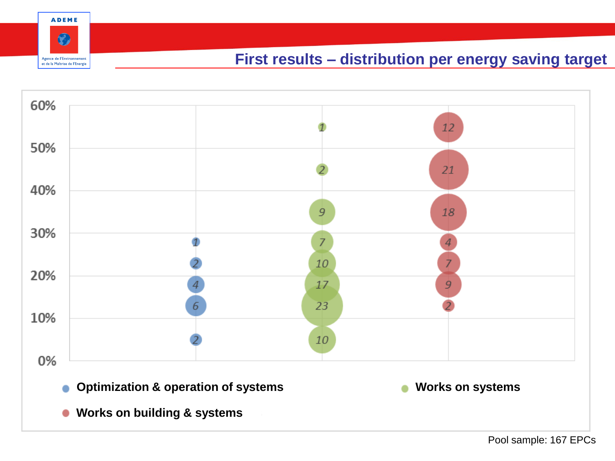



**ADEME** 

 $\odot$ 

Agence de l'Environnement et de la Maîtrise de l'Energie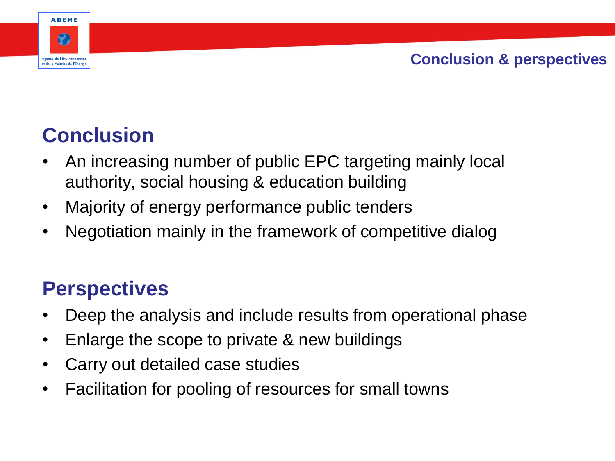

### **Conclusion**

- An increasing number of public EPC targeting mainly local authority, social housing & education building
- Majority of energy performance public tenders
- Negotiation mainly in the framework of competitive dialog

### **Perspectives**

- Deep the analysis and include results from operational phase
- Enlarge the scope to private & new buildings
- Carry out detailed case studies
- Facilitation for pooling of resources for small towns